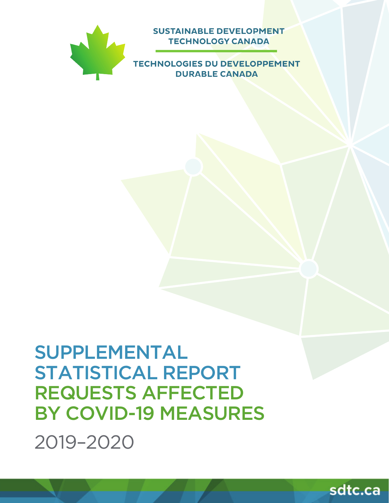

**SUSTAINABLE DEVELOPMENT TECHNOLOGY CANADA** 

**TECHNOLOGIES DU DEVELOPPEMENT DURABLE CANADA** 

# SUPPLEMENTAL STATISTICAL REPORT REQUESTS AFFECTED BY COVID-19 MEASURES

2019–2020

sdtc.ca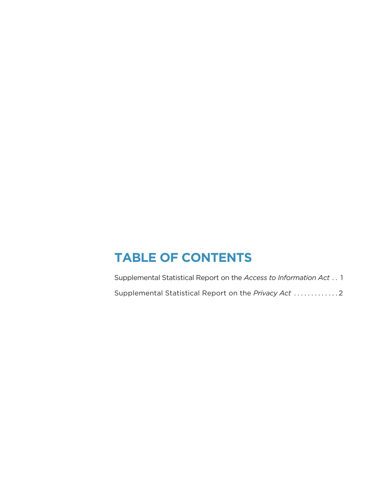### **TABLE OF CONTENTS**

Supplemental Statistical Report on the *Access to Information Act* . . 1 Supplemental Statistical Report on the *Privacy Act* . . . . . . . . . . . . 2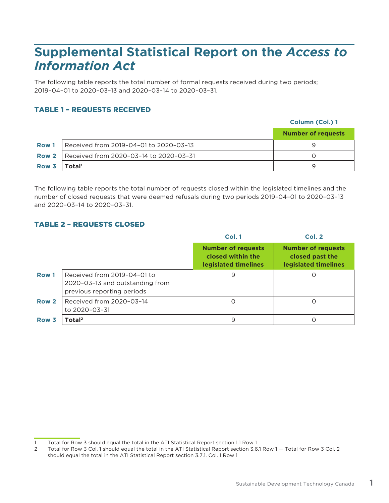## **Supplemental Statistical Report on the** *Access to Information Act*

The following table reports the total number of formal requests received during two periods; 2019–04–01 to 2020–03–13 and 2020–03–14 to 2020–03–31.

### TABLE 1 – REQUESTS RECEIVED

#### **Column (Col.) 1**

|                  |                                                       | <b>Number of requests</b> |
|------------------|-------------------------------------------------------|---------------------------|
| <b>Row 1</b>     | Received from 2019-04-01 to 2020-03-13                |                           |
|                  | <b>Row 2</b>   Received from 2020-03-14 to 2020-03-31 |                           |
| Row $3$   Total' |                                                       |                           |

The following table reports the total number of requests closed within the legislated timelines and the number of closed requests that were deemed refusals during two periods 2019–04–01 to 2020–03–13 and 2020–03–14 to 2020–03–31.

#### TABLE 2 – REQUESTS CLOSED

|                  |                                                                                              | Col. 1                                                                 | <b>Col. 2</b>                                                        |
|------------------|----------------------------------------------------------------------------------------------|------------------------------------------------------------------------|----------------------------------------------------------------------|
|                  |                                                                                              | <b>Number of requests</b><br>closed within the<br>legislated timelines | <b>Number of requests</b><br>closed past the<br>legislated timelines |
| Row 1            | Received from 2019-04-01 to<br>2020-03-13 and outstanding from<br>previous reporting periods | 9                                                                      |                                                                      |
| Row 2            | Received from 2020-03-14<br>to 2020-03-31                                                    | O                                                                      |                                                                      |
| Row <sub>3</sub> | Total <sup>2</sup>                                                                           | 9                                                                      |                                                                      |

<sup>1</sup> Total for Row 3 should equal the total in the ATI Statistical Report section 1.1 Row 1

<sup>2</sup> Total for Row 3 Col. 1 should equal the total in the ATI Statistical Report section 3.6.1 Row 1 — Total for Row 3 Col. 2 should equal the total in the ATI Statistical Report section 3.7.1. Col. 1 Row 1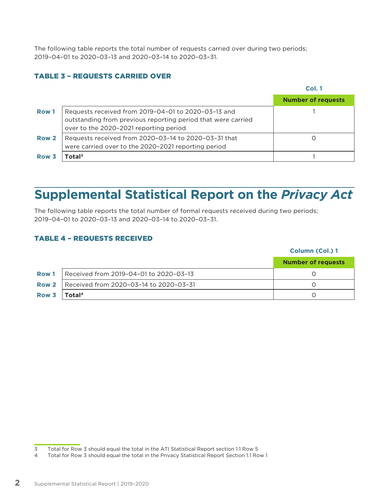The following table reports the total number of requests carried over during two periods; 2019–04–01 to 2020–03–13 and 2020–03–14 to 2020–03–31.

### TABLE 3 – REQUESTS CARRIED OVER

|                  |                                                                                                                                                               | Col. 1                    |
|------------------|---------------------------------------------------------------------------------------------------------------------------------------------------------------|---------------------------|
|                  |                                                                                                                                                               | <b>Number of requests</b> |
| Row 1            | Requests received from 2019-04-01 to 2020-03-13 and<br>outstanding from previous reporting period that were carried<br>over to the 2020-2021 reporting period |                           |
| Row 2            | Requests received from 2020-03-14 to 2020-03-31 that<br>were carried over to the 2020-2021 reporting period                                                   |                           |
| Row <sub>3</sub> | Total $^3$                                                                                                                                                    |                           |

# **Supplemental Statistical Report on the** *Privacy Act*

The following table reports the total number of formal requests received during two periods; 2019–04–01 to 2020–03–13 and 2020–03–14 to 2020–03–31.

#### TABLE 4 – REQUESTS RECEIVED

|              |                                        | Column (Col.) 1           |  |
|--------------|----------------------------------------|---------------------------|--|
|              |                                        | <b>Number of requests</b> |  |
| <b>Row 1</b> | Received from 2019-04-01 to 2020-03-13 |                           |  |
| Row 2        | Received from 2020-03-14 to 2020-03-31 |                           |  |
| Row 3        | Total <sup>4</sup>                     |                           |  |

<sup>3</sup> Total for Row 3 should equal the total in the ATI Statistical Report section 1.1 Row 5

<sup>4</sup> Total for Row 3 should equal the total in the Privacy Statistical Report Section 1.1 Row 1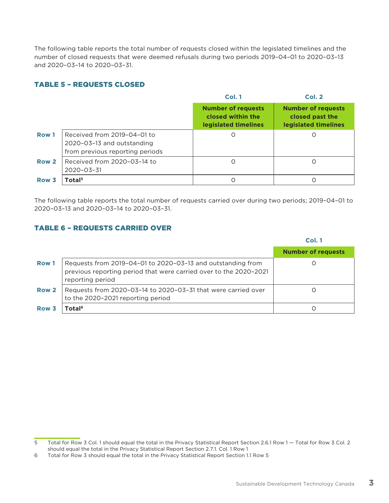The following table reports the total number of requests closed within the legislated timelines and the number of closed requests that were deemed refusals during two periods 2019–04–01 to 2020–03–13 and 2020–03–14 to 2020–03–31.

### TABLE 5 – REQUESTS CLOSED

|                  |                                                                                              | Col. 1                                                                 | <b>Col. 2</b>                                                        |
|------------------|----------------------------------------------------------------------------------------------|------------------------------------------------------------------------|----------------------------------------------------------------------|
|                  |                                                                                              | <b>Number of requests</b><br>closed within the<br>legislated timelines | <b>Number of requests</b><br>closed past the<br>legislated timelines |
| Row 1            | Received from 2019-04-01 to<br>2020-03-13 and outstanding<br>from previous reporting periods | O                                                                      | Ω                                                                    |
| Row 2            | Received from 2020-03-14 to<br>$2020 - 03 - 31$                                              | $\Omega$                                                               | O                                                                    |
| Row <sub>3</sub> | Total <sup>5</sup>                                                                           |                                                                        |                                                                      |

The following table reports the total number of requests carried over during two periods; 2019–04–01 to 2020–03–13 and 2020–03–14 to 2020–03–31.

#### TABLE 6 – REQUESTS CARRIED OVER

#### **Col. 1 Number of requests Row 1** Requests from 2019-04-01 to 2020-03-13 and outstanding from previous reporting period that were carried over to the 2020–2021 reporting period  $\overline{O}$ **Row 2** Requests from 2020-03-14 to 2020-03-31 that were carried over to the 2020–2021 reporting period  $\overline{O}$ **Row 3 Total6** 0

<sup>5</sup> Total for Row 3 Col. 1 should equal the total in the Privacy Statistical Report Section 2.6.1 Row 1 — Total for Row 3 Col. 2 should equal the total in the Privacy Statistical Report Section 2.7.1. Col. 1 Row 1

<sup>6</sup> Total for Row 3 should equal the total in the Privacy Statistical Report Section 1.1 Row 5